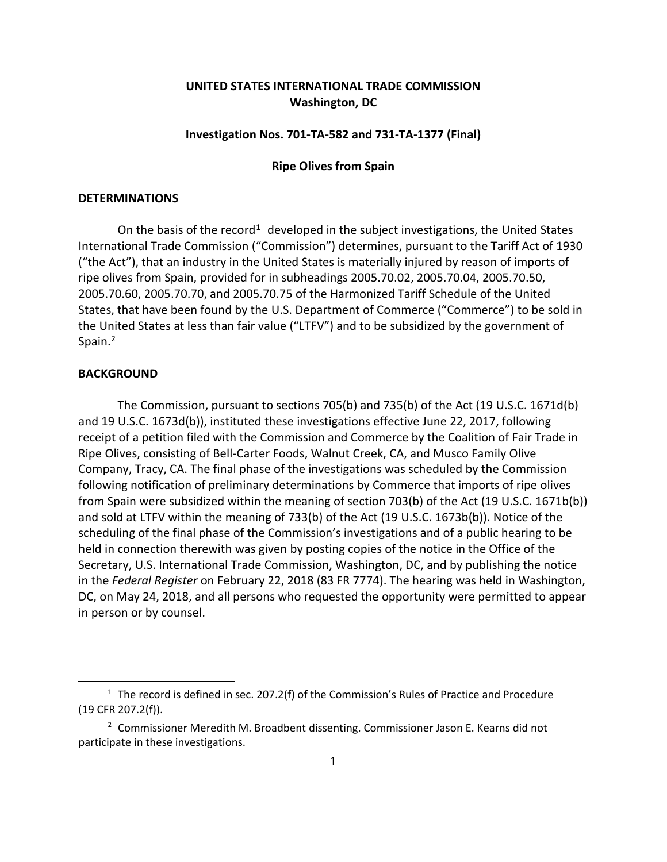# **UNITED STATES INTERNATIONAL TRADE COMMISSION Washington, DC**

## **Investigation Nos. 701-TA-582 and 731-TA-1377 (Final)**

## **Ripe Olives from Spain**

#### **DETERMINATIONS**

On the basis of the record<sup>[1](#page-0-0)</sup> developed in the subject investigations, the United States International Trade Commission ("Commission") determines, pursuant to the Tariff Act of 1930 ("the Act"), that an industry in the United States is materially injured by reason of imports of ripe olives from Spain, provided for in subheadings 2005.70.02, 2005.70.04, 2005.70.50, 2005.70.60, 2005.70.70, and 2005.70.75 of the Harmonized Tariff Schedule of the United States, that have been found by the U.S. Department of Commerce ("Commerce") to be sold in the United States at less than fair value ("LTFV") and to be subsidized by the government of Spain.<sup>[2](#page-0-1)</sup>

## **BACKGROUND**

 $\overline{a}$ 

The Commission, pursuant to sections 705(b) and 735(b) of the Act (19 U.S.C. 1671d(b) and 19 U.S.C. 1673d(b)), instituted these investigations effective June 22, 2017, following receipt of a petition filed with the Commission and Commerce by the Coalition of Fair Trade in Ripe Olives, consisting of Bell-Carter Foods, Walnut Creek, CA, and Musco Family Olive Company, Tracy, CA. The final phase of the investigations was scheduled by the Commission following notification of preliminary determinations by Commerce that imports of ripe olives from Spain were subsidized within the meaning of section 703(b) of the Act (19 U.S.C. 1671b(b)) and sold at LTFV within the meaning of 733(b) of the Act (19 U.S.C. 1673b(b)). Notice of the scheduling of the final phase of the Commission's investigations and of a public hearing to be held in connection therewith was given by posting copies of the notice in the Office of the Secretary, U.S. International Trade Commission, Washington, DC, and by publishing the notice in the *Federal Register* on February 22, 2018 (83 FR 7774). The hearing was held in Washington, DC, on May 24, 2018, and all persons who requested the opportunity were permitted to appear in person or by counsel.

<span id="page-0-0"></span> $1$  The record is defined in sec. 207.2(f) of the Commission's Rules of Practice and Procedure (19 CFR 207.2(f)).

<span id="page-0-1"></span><sup>2</sup> Commissioner Meredith M. Broadbent dissenting. Commissioner Jason E. Kearns did not participate in these investigations.